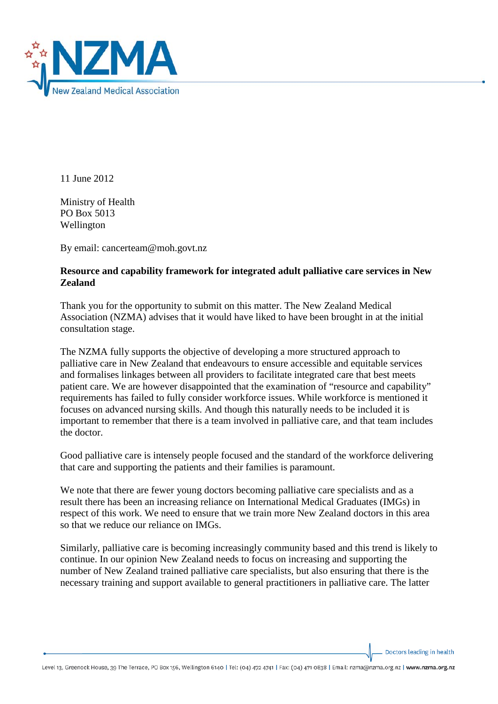

11 June 2012

Ministry of Health PO Box 5013 Wellington

By email: cancerteam@moh.govt.nz

## **Resource and capability framework for integrated adult palliative care services in New Zealand**

Thank you for the opportunity to submit on this matter. The New Zealand Medical Association (NZMA) advises that it would have liked to have been brought in at the initial consultation stage.

The NZMA fully supports the objective of developing a more structured approach to palliative care in New Zealand that endeavours to ensure accessible and equitable services and formalises linkages between all providers to facilitate integrated care that best meets patient care. We are however disappointed that the examination of "resource and capability" requirements has failed to fully consider workforce issues. While workforce is mentioned it focuses on advanced nursing skills. And though this naturally needs to be included it is important to remember that there is a team involved in palliative care, and that team includes the doctor.

Good palliative care is intensely people focused and the standard of the workforce delivering that care and supporting the patients and their families is paramount.

We note that there are fewer young doctors becoming palliative care specialists and as a result there has been an increasing reliance on International Medical Graduates (IMGs) in respect of this work. We need to ensure that we train more New Zealand doctors in this area so that we reduce our reliance on IMGs.

Similarly, palliative care is becoming increasingly community based and this trend is likely to continue. In our opinion New Zealand needs to focus on increasing and supporting the number of New Zealand trained palliative care specialists, but also ensuring that there is the necessary training and support available to general practitioners in palliative care. The latter

Doctors leading in health